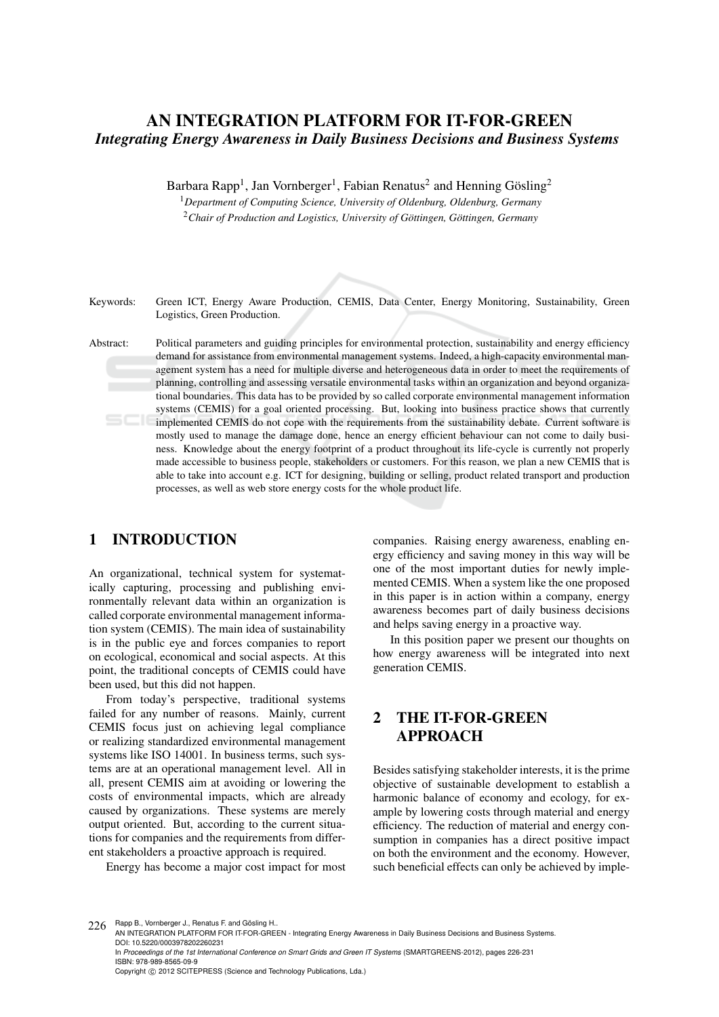# AN INTEGRATION PLATFORM FOR IT-FOR-GREEN *Integrating Energy Awareness in Daily Business Decisions and Business Systems*

Barbara Rapp<sup>1</sup>, Jan Vornberger<sup>1</sup>, Fabian Renatus<sup>2</sup> and Henning Gösling<sup>2</sup>

<sup>1</sup>*Department of Computing Science, University of Oldenburg, Oldenburg, Germany* <sup>2</sup>Chair of Production and Logistics, University of Göttingen, Göttingen, Germany

Keywords: Green ICT, Energy Aware Production, CEMIS, Data Center, Energy Monitoring, Sustainability, Green Logistics, Green Production.

Abstract: Political parameters and guiding principles for environmental protection, sustainability and energy efficiency demand for assistance from environmental management systems. Indeed, a high-capacity environmental management system has a need for multiple diverse and heterogeneous data in order to meet the requirements of planning, controlling and assessing versatile environmental tasks within an organization and beyond organizational boundaries. This data has to be provided by so called corporate environmental management information systems (CEMIS) for a goal oriented processing. But, looking into business practice shows that currently implemented CEMIS do not cope with the requirements from the sustainability debate. Current software is mostly used to manage the damage done, hence an energy efficient behaviour can not come to daily business. Knowledge about the energy footprint of a product throughout its life-cycle is currently not properly made accessible to business people, stakeholders or customers. For this reason, we plan a new CEMIS that is able to take into account e.g. ICT for designing, building or selling, product related transport and production processes, as well as web store energy costs for the whole product life.

## 1 INTRODUCTION

An organizational, technical system for systematically capturing, processing and publishing environmentally relevant data within an organization is called corporate environmental management information system (CEMIS). The main idea of sustainability is in the public eye and forces companies to report on ecological, economical and social aspects. At this point, the traditional concepts of CEMIS could have been used, but this did not happen.

From today's perspective, traditional systems failed for any number of reasons. Mainly, current CEMIS focus just on achieving legal compliance or realizing standardized environmental management systems like ISO 14001. In business terms, such systems are at an operational management level. All in all, present CEMIS aim at avoiding or lowering the costs of environmental impacts, which are already caused by organizations. These systems are merely output oriented. But, according to the current situations for companies and the requirements from different stakeholders a proactive approach is required.

Energy has become a major cost impact for most

companies. Raising energy awareness, enabling energy efficiency and saving money in this way will be one of the most important duties for newly implemented CEMIS. When a system like the one proposed in this paper is in action within a company, energy awareness becomes part of daily business decisions and helps saving energy in a proactive way.

In this position paper we present our thoughts on how energy awareness will be integrated into next generation CEMIS.

## 2 THE IT-FOR-GREEN APPROACH

Besides satisfying stakeholder interests, it is the prime objective of sustainable development to establish a harmonic balance of economy and ecology, for example by lowering costs through material and energy efficiency. The reduction of material and energy consumption in companies has a direct positive impact on both the environment and the economy. However, such beneficial effects can only be achieved by imple-

<sup>226</sup> Rapp B., Vornberger J., Renatus F. and Gösling H.. AN INTEGRATION PLATFORM FOR IT-FOR-GREEN - Integrating Energy Awareness in Daily Business Decisions and Business Systems. DOI: 10.5220/0003978202260231

In *Proceedings of the 1st International Conference on Smart Grids and Green IT Systems* (SMARTGREENS-2012), pages 226-231 ISBN: 978-989-8565-09-9

Copyright © 2012 SCITEPRESS (Science and Technology Publications, Lda.)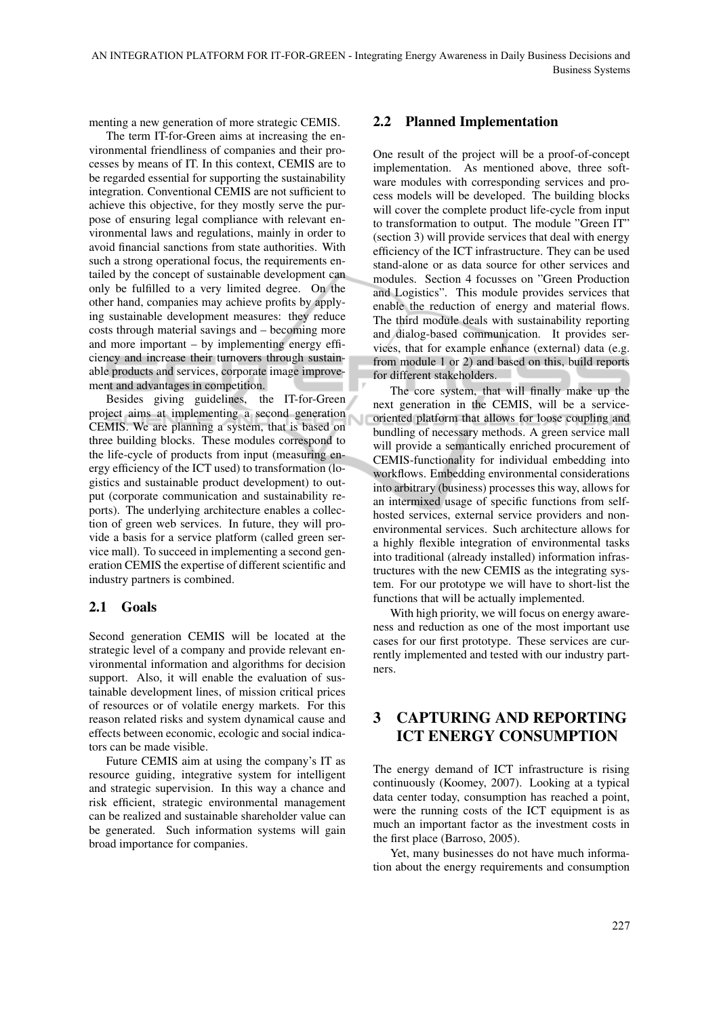menting a new generation of more strategic CEMIS.

The term IT-for-Green aims at increasing the environmental friendliness of companies and their processes by means of IT. In this context, CEMIS are to be regarded essential for supporting the sustainability integration. Conventional CEMIS are not sufficient to achieve this objective, for they mostly serve the purpose of ensuring legal compliance with relevant environmental laws and regulations, mainly in order to avoid financial sanctions from state authorities. With such a strong operational focus, the requirements entailed by the concept of sustainable development can only be fulfilled to a very limited degree. On the other hand, companies may achieve profits by applying sustainable development measures: they reduce costs through material savings and – becoming more and more important – by implementing energy efficiency and increase their turnovers through sustainable products and services, corporate image improvement and advantages in competition.

Besides giving guidelines, the IT-for-Green project aims at implementing a second generation CEMIS. We are planning a system, that is based on three building blocks. These modules correspond to the life-cycle of products from input (measuring energy efficiency of the ICT used) to transformation (logistics and sustainable product development) to output (corporate communication and sustainability reports). The underlying architecture enables a collection of green web services. In future, they will provide a basis for a service platform (called green service mall). To succeed in implementing a second generation CEMIS the expertise of different scientific and industry partners is combined.

#### 2.1 Goals

Second generation CEMIS will be located at the strategic level of a company and provide relevant environmental information and algorithms for decision support. Also, it will enable the evaluation of sustainable development lines, of mission critical prices of resources or of volatile energy markets. For this reason related risks and system dynamical cause and effects between economic, ecologic and social indicators can be made visible.

Future CEMIS aim at using the company's IT as resource guiding, integrative system for intelligent and strategic supervision. In this way a chance and risk efficient, strategic environmental management can be realized and sustainable shareholder value can be generated. Such information systems will gain broad importance for companies.

#### 2.2 Planned Implementation

One result of the project will be a proof-of-concept implementation. As mentioned above, three software modules with corresponding services and process models will be developed. The building blocks will cover the complete product life-cycle from input to transformation to output. The module "Green IT" (section 3) will provide services that deal with energy efficiency of the ICT infrastructure. They can be used stand-alone or as data source for other services and modules. Section 4 focusses on "Green Production and Logistics". This module provides services that enable the reduction of energy and material flows. The third module deals with sustainability reporting and dialog-based communication. It provides services, that for example enhance (external) data (e.g. from module 1 or 2) and based on this, build reports for different stakeholders.

The core system, that will finally make up the next generation in the CEMIS, will be a serviceoriented platform that allows for loose coupling and bundling of necessary methods. A green service mall will provide a semantically enriched procurement of CEMIS-functionality for individual embedding into workflows. Embedding environmental considerations into arbitrary (business) processes this way, allows for an intermixed usage of specific functions from selfhosted services, external service providers and nonenvironmental services. Such architecture allows for a highly flexible integration of environmental tasks into traditional (already installed) information infrastructures with the new CEMIS as the integrating system. For our prototype we will have to short-list the functions that will be actually implemented.

With high priority, we will focus on energy awareness and reduction as one of the most important use cases for our first prototype. These services are currently implemented and tested with our industry partners.

### 3 CAPTURING AND REPORTING ICT ENERGY CONSUMPTION

The energy demand of ICT infrastructure is rising continuously (Koomey, 2007). Looking at a typical data center today, consumption has reached a point, were the running costs of the ICT equipment is as much an important factor as the investment costs in the first place (Barroso, 2005).

Yet, many businesses do not have much information about the energy requirements and consumption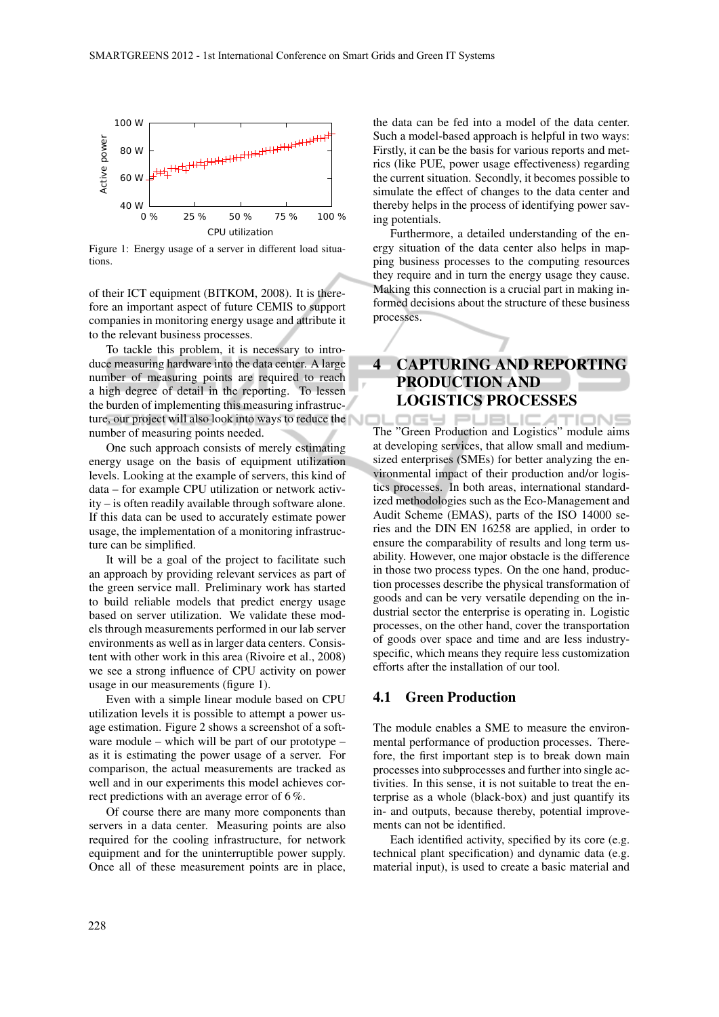

Figure 1: Energy usage of a server in different load situations.

of their ICT equipment (BITKOM, 2008). It is therefore an important aspect of future CEMIS to support companies in monitoring energy usage and attribute it to the relevant business processes.

To tackle this problem, it is necessary to introduce measuring hardware into the data center. A large number of measuring points are required to reach a high degree of detail in the reporting. To lessen the burden of implementing this measuring infrastructure, our project will also look into ways to reduce the number of measuring points needed.

One such approach consists of merely estimating energy usage on the basis of equipment utilization levels. Looking at the example of servers, this kind of data – for example CPU utilization or network activity – is often readily available through software alone. If this data can be used to accurately estimate power usage, the implementation of a monitoring infrastructure can be simplified.

It will be a goal of the project to facilitate such an approach by providing relevant services as part of the green service mall. Preliminary work has started to build reliable models that predict energy usage based on server utilization. We validate these models through measurements performed in our lab server environments as well as in larger data centers. Consistent with other work in this area (Rivoire et al., 2008) we see a strong influence of CPU activity on power usage in our measurements (figure 1).

Even with a simple linear module based on CPU utilization levels it is possible to attempt a power usage estimation. Figure 2 shows a screenshot of a software module – which will be part of our prototype – as it is estimating the power usage of a server. For comparison, the actual measurements are tracked as well and in our experiments this model achieves correct predictions with an average error of 6 %.

Of course there are many more components than servers in a data center. Measuring points are also required for the cooling infrastructure, for network equipment and for the uninterruptible power supply. Once all of these measurement points are in place,

the data can be fed into a model of the data center. Such a model-based approach is helpful in two ways: Firstly, it can be the basis for various reports and metrics (like PUE, power usage effectiveness) regarding the current situation. Secondly, it becomes possible to simulate the effect of changes to the data center and thereby helps in the process of identifying power saving potentials.

Furthermore, a detailed understanding of the energy situation of the data center also helps in mapping business processes to the computing resources they require and in turn the energy usage they cause. Making this connection is a crucial part in making informed decisions about the structure of these business processes.

# 4 CAPTURING AND REPORTING PRODUCTION AND LOGISTICS PROCESSES

IGY PUBLIC **ATIONS** The "Green Production and Logistics" module aims at developing services, that allow small and mediumsized enterprises (SMEs) for better analyzing the environmental impact of their production and/or logistics processes. In both areas, international standardized methodologies such as the Eco-Management and Audit Scheme (EMAS), parts of the ISO 14000 series and the DIN EN 16258 are applied, in order to ensure the comparability of results and long term usability. However, one major obstacle is the difference in those two process types. On the one hand, production processes describe the physical transformation of goods and can be very versatile depending on the industrial sector the enterprise is operating in. Logistic processes, on the other hand, cover the transportation of goods over space and time and are less industryspecific, which means they require less customization efforts after the installation of our tool.

#### 4.1 Green Production

The module enables a SME to measure the environmental performance of production processes. Therefore, the first important step is to break down main processes into subprocesses and further into single activities. In this sense, it is not suitable to treat the enterprise as a whole (black-box) and just quantify its in- and outputs, because thereby, potential improvements can not be identified.

Each identified activity, specified by its core (e.g. technical plant specification) and dynamic data (e.g. material input), is used to create a basic material and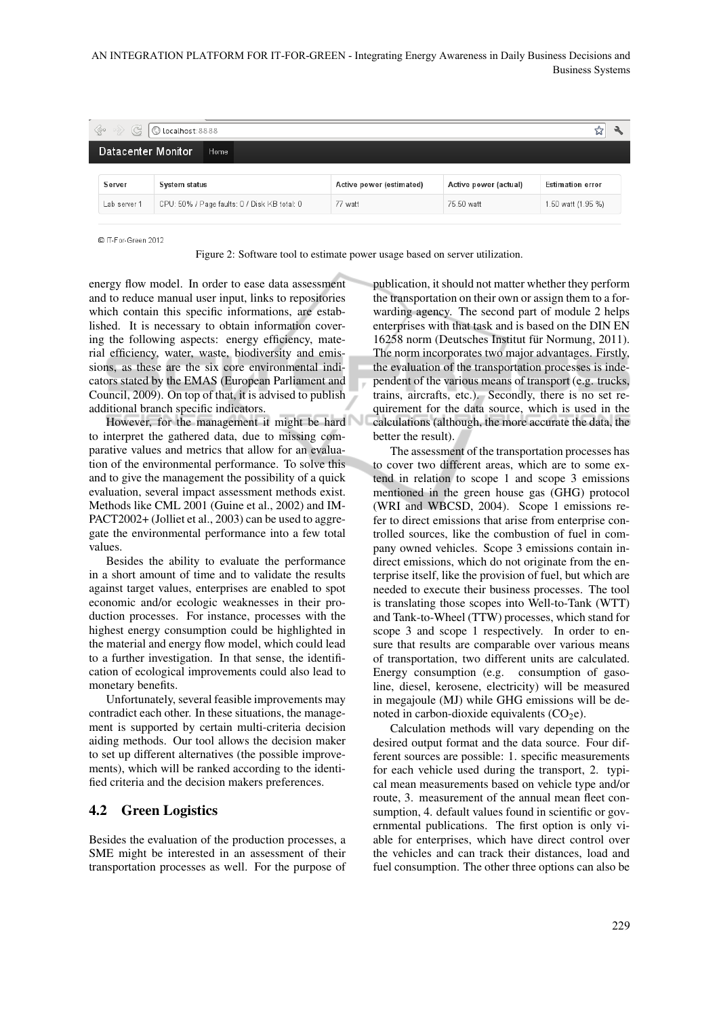AN INTEGRATION PLATFORM FOR IT-FOR-GREEN - Integrating Energy Awareness in Daily Business Decisions and Business-Systems

| <c g="" localhost:8888<="" o="" th="" →=""></c> |                                              |                          |                       |                         |
|-------------------------------------------------|----------------------------------------------|--------------------------|-----------------------|-------------------------|
| Datacenter Monitor<br>Home                      |                                              |                          |                       |                         |
| Server                                          | <b>System status</b>                         | Active power (estimated) | Active power (actual) | <b>Estimation error</b> |
| Lab server 1                                    | CPU: 50% / Page faults: 0 / Disk KB total: 0 | 77 watt                  | 75.50 watt            | 1.50 watt (1.95 %)      |

C IT-For-Green 2012

Figure 2: Software tool to estimate power usage based on server utilization.

energy flow model. In order to ease data assessment and to reduce manual user input, links to repositories which contain this specific informations, are established. It is necessary to obtain information covering the following aspects: energy efficiency, material efficiency, water, waste, biodiversity and emissions, as these are the six core environmental indicators stated by the EMAS (European Parliament and Council, 2009). On top of that, it is advised to publish additional branch specific indicators.

However, for the management it might be hard to interpret the gathered data, due to missing comparative values and metrics that allow for an evaluation of the environmental performance. To solve this and to give the management the possibility of a quick evaluation, several impact assessment methods exist. Methods like CML 2001 (Guine et al., 2002) and IM-PACT2002+ (Jolliet et al., 2003) can be used to aggregate the environmental performance into a few total values.

Besides the ability to evaluate the performance in a short amount of time and to validate the results against target values, enterprises are enabled to spot economic and/or ecologic weaknesses in their production processes. For instance, processes with the highest energy consumption could be highlighted in the material and energy flow model, which could lead to a further investigation. In that sense, the identification of ecological improvements could also lead to monetary benefits.

Unfortunately, several feasible improvements may contradict each other. In these situations, the management is supported by certain multi-criteria decision aiding methods. Our tool allows the decision maker to set up different alternatives (the possible improvements), which will be ranked according to the identified criteria and the decision makers preferences.

#### 4.2 Green Logistics

Besides the evaluation of the production processes, a SME might be interested in an assessment of their transportation processes as well. For the purpose of

publication, it should not matter whether they perform the transportation on their own or assign them to a forwarding agency. The second part of module 2 helps enterprises with that task and is based on the DIN EN 16258 norm (Deutsches Institut für Normung, 2011). The norm incorporates two major advantages. Firstly, the evaluation of the transportation processes is independent of the various means of transport (e.g. trucks, trains, aircrafts, etc.). Secondly, there is no set requirement for the data source, which is used in the calculations (although, the more accurate the data, the better the result).

The assessment of the transportation processes has to cover two different areas, which are to some extend in relation to scope 1 and scope 3 emissions mentioned in the green house gas (GHG) protocol (WRI and WBCSD, 2004). Scope 1 emissions refer to direct emissions that arise from enterprise controlled sources, like the combustion of fuel in company owned vehicles. Scope 3 emissions contain indirect emissions, which do not originate from the enterprise itself, like the provision of fuel, but which are needed to execute their business processes. The tool is translating those scopes into Well-to-Tank (WTT) and Tank-to-Wheel (TTW) processes, which stand for scope 3 and scope 1 respectively. In order to ensure that results are comparable over various means of transportation, two different units are calculated. Energy consumption (e.g. consumption of gasoline, diesel, kerosene, electricity) will be measured in megajoule (MJ) while GHG emissions will be denoted in carbon-dioxide equivalents  $(CO<sub>2</sub>e)$ .

Calculation methods will vary depending on the desired output format and the data source. Four different sources are possible: 1. specific measurements for each vehicle used during the transport, 2. typical mean measurements based on vehicle type and/or route, 3. measurement of the annual mean fleet consumption, 4. default values found in scientific or governmental publications. The first option is only viable for enterprises, which have direct control over the vehicles and can track their distances, load and fuel consumption. The other three options can also be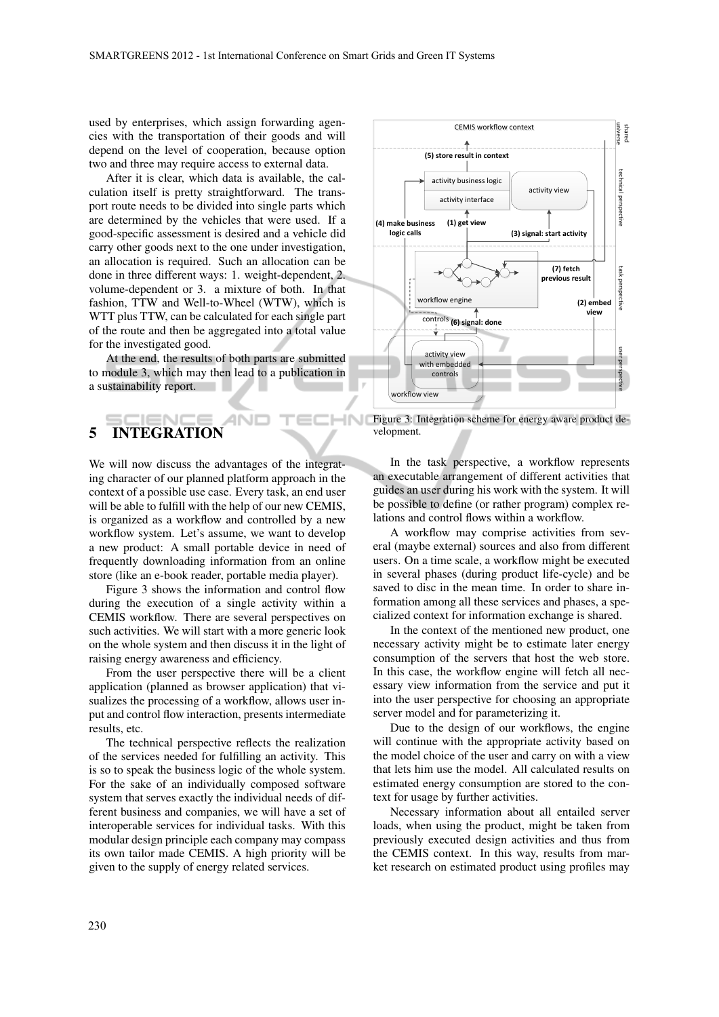used by enterprises, which assign forwarding agencies with the transportation of their goods and will depend on the level of cooperation, because option two and three may require access to external data.

After it is clear, which data is available, the calculation itself is pretty straightforward. The transport route needs to be divided into single parts which are determined by the vehicles that were used. If a good-specific assessment is desired and a vehicle did carry other goods next to the one under investigation, an allocation is required. Such an allocation can be done in three different ways: 1. weight-dependent, 2. volume-dependent or 3. a mixture of both. In that fashion, TTW and Well-to-Wheel (WTW), which is WTT plus TTW, can be calculated for each single part of the route and then be aggregated into a total value for the investigated good.

At the end, the results of both parts are submitted to module 3, which may then lead to a publication in a sustainability report.

# 5 INTEGRATION

We will now discuss the advantages of the integrating character of our planned platform approach in the context of a possible use case. Every task, an end user will be able to fulfill with the help of our new CEMIS, is organized as a workflow and controlled by a new workflow system. Let's assume, we want to develop a new product: A small portable device in need of frequently downloading information from an online store (like an e-book reader, portable media player).

Figure 3 shows the information and control flow during the execution of a single activity within a CEMIS workflow. There are several perspectives on such activities. We will start with a more generic look on the whole system and then discuss it in the light of raising energy awareness and efficiency.

From the user perspective there will be a client application (planned as browser application) that visualizes the processing of a workflow, allows user input and control flow interaction, presents intermediate results, etc.

The technical perspective reflects the realization of the services needed for fulfilling an activity. This is so to speak the business logic of the whole system. For the sake of an individually composed software system that serves exactly the individual needs of different business and companies, we will have a set of interoperable services for individual tasks. With this modular design principle each company may compass its own tailor made CEMIS. A high priority will be given to the supply of energy related services.



INI Figure 3: Integration scheme for energy aware product development.

In the task perspective, a workflow represents an executable arrangement of different activities that guides an user during his work with the system. It will be possible to define (or rather program) complex relations and control flows within a workflow.

A workflow may comprise activities from several (maybe external) sources and also from different users. On a time scale, a workflow might be executed in several phases (during product life-cycle) and be saved to disc in the mean time. In order to share information among all these services and phases, a specialized context for information exchange is shared.

In the context of the mentioned new product, one necessary activity might be to estimate later energy consumption of the servers that host the web store. In this case, the workflow engine will fetch all necessary view information from the service and put it into the user perspective for choosing an appropriate server model and for parameterizing it.

Due to the design of our workflows, the engine will continue with the appropriate activity based on the model choice of the user and carry on with a view that lets him use the model. All calculated results on estimated energy consumption are stored to the context for usage by further activities.

Necessary information about all entailed server loads, when using the product, might be taken from previously executed design activities and thus from the CEMIS context. In this way, results from market research on estimated product using profiles may